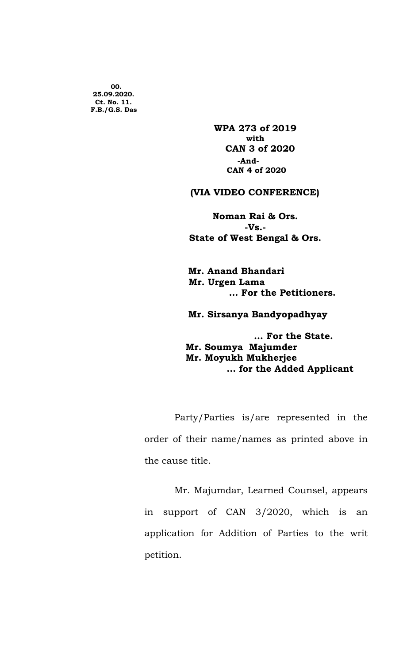00. 25.09.2020. Ct. No. 11. F.B./G.S. Das

> WPA 273 of 2019 with the contract of the contract of the contract of the contract of the contract of the contract of the contract of the contract of the contract of the contract of the contract of the contract of the contract of the contr CAN 3 of 2020 -And- CAN 4 of 2020

## (VIA VIDEO CONFERENCE)

Noman Rai & Ors. -Vs.- State of West Bengal & Ors.

 Mr. Anand Bhandari Mr. Urgen Lama … For the Petitioners.

Mr. Sirsanya Bandyopadhyay

 … For the State. Mr. Soumya Majumder Mr. Moyukh Mukherjee … for the Added Applicant

Party/Parties is/are represented in the order of their name/names as printed above in the cause title.

Mr. Majumdar, Learned Counsel, appears in support of CAN 3/2020, which is an application for Addition of Parties to the writ petition.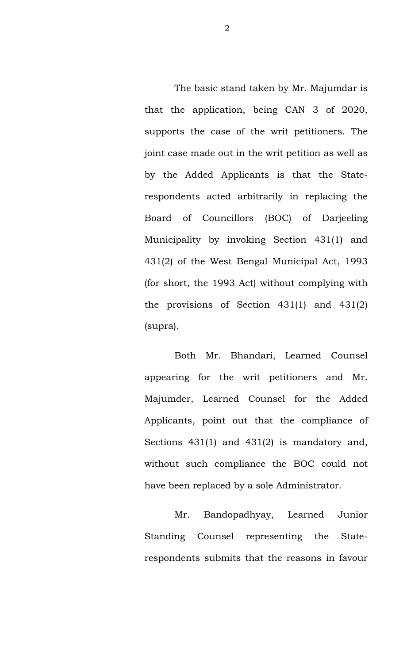The basic stand taken by Mr. Majumdar is that the application, being CAN 3 of 2020, supports the case of the writ petitioners. The joint case made out in the writ petition as well as by the Added Applicants is that the Staterespondents acted arbitrarily in replacing the Board of Councillors (BOC) of Darjeeling Municipality by invoking Section 431(1) and 431(2) of the West Bengal Municipal Act, 1993 (for short, the 1993 Act) without complying with the provisions of Section 431(1) and 431(2) (supra).

Both Mr. Bhandari, Learned Counsel appearing for the writ petitioners and Mr. Majumder, Learned Counsel for the Added Applicants, point out that the compliance of Sections 431(1) and 431(2) is mandatory and, without such compliance the BOC could not have been replaced by a sole Administrator.

Mr. Bandopadhyay, Learned Junior Standing Counsel representing the Staterespondents submits that the reasons in favour

2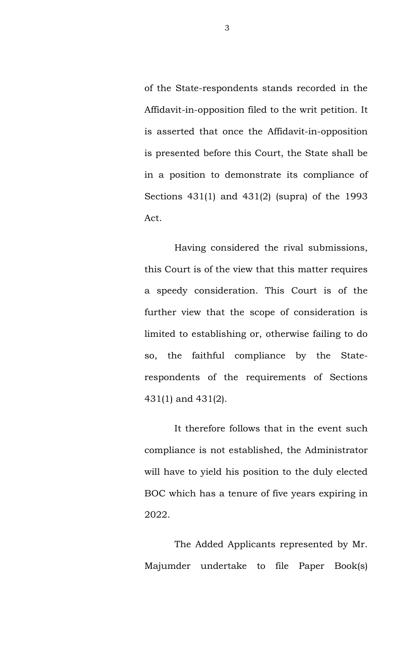of the State-respondents stands recorded in the Affidavit-in-opposition filed to the writ petition. It is asserted that once the Affidavit-in-opposition is presented before this Court, the State shall be in a position to demonstrate its compliance of Sections 431(1) and 431(2) (supra) of the 1993 Act.

Having considered the rival submissions, this Court is of the view that this matter requires a speedy consideration. This Court is of the further view that the scope of consideration is limited to establishing or, otherwise failing to do so, the faithful compliance by the Staterespondents of the requirements of Sections 431(1) and 431(2).

It therefore follows that in the event such compliance is not established, the Administrator will have to yield his position to the duly elected BOC which has a tenure of five years expiring in 2022.

The Added Applicants represented by Mr. Majumder undertake to file Paper Book(s)